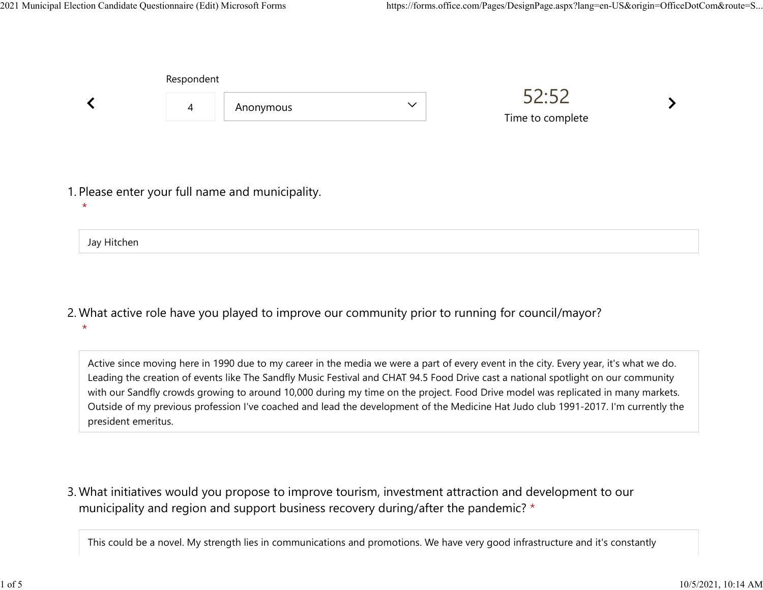Jay Hitchen

|         | Respondent     |                                                  |              |                           |  |
|---------|----------------|--------------------------------------------------|--------------|---------------------------|--|
|         | $\overline{4}$ | Anonymous                                        | $\checkmark$ | 52:52<br>Time to complete |  |
|         |                |                                                  |              |                           |  |
| $\star$ |                | 1. Please enter your full name and municipality. |              |                           |  |
|         |                |                                                  |              |                           |  |

What active role have you played to improve our community prior to running for council/mayor? 2. \*

Active since moving here in 1990 due to my career in the media we were a part of every event in the city. Every year, it's what we do. Leading the creation of events like The Sandfly Music Festival and CHAT 94.5 Food Drive cast a national spotlight on our community with our Sandfly crowds growing to around 10,000 during my time on the project. Food Drive model was replicated in many markets. Outside of my previous profession I've coached and lead the development of the Medicine Hat Judo club 1991-2017. I'm currently the president emeritus.

What initiatives would you propose to improve tourism, investment attraction and development to our 3. municipality and region and support business recovery during/after the pandemic? \*

This could be a novel. My strength lies in communications and promotions. We have very good infrastructure and it's constantly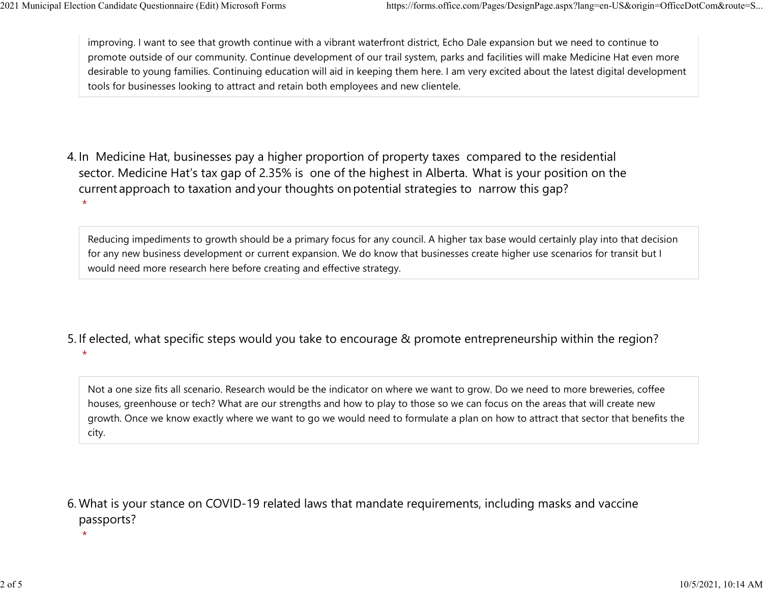improving. I want to see that growth continue with a vibrant waterfront district, Echo Dale expansion but we need to continue to promote outside of our community. Continue development of our trail system, parks and facilities will make Medicine Hat even more desirable to young families. Continuing education will aid in keeping them here. I am very excited about the latest digital development tools for businesses looking to attract and retain both employees and new clientele. 2021 Municipal Election Candidate Questionnaire (Edit) Microsoft Forms https://forms.office.com/Pages/DesignPage.aspx?lang=en-US&origin=OfficeDotCom&route=S...<br>
improving. I want to see that growth continue with a vibrant

4. In Medicine Hat, businesses pay a higher proportion of property taxes compared to the residential sector.  Medicine Hat's tax gap of 2.35% is one of the highest in Alberta.  What is your position on the current approach to taxation and your thoughts on potential strategies to narrow this gap? \*

Reducing impediments to growth should be a primary focus for any council. A higher tax base would certainly play into that decision for any new business development or current expansion. We do know that businesses create higher use scenarios for transit but I would need more research here before creating and effective strategy.

5. If elected, what specific steps would you take to encourage & promote entrepreneurship within the region?  $\star$ 

Not a one size fits all scenario. Research would be the indicator on where we want to grow. Do we need to more breweries, coffee houses, greenhouse or tech? What are our strengths and how to play to those so we can focus on the areas that will create new growth. Once we know exactly where we want to go we would need to formulate a plan on how to attract that sector that benefits the city.

What is your stance on COVID-19 related laws that mandate requirements, including masks and vaccine 6. passports?

 $\star$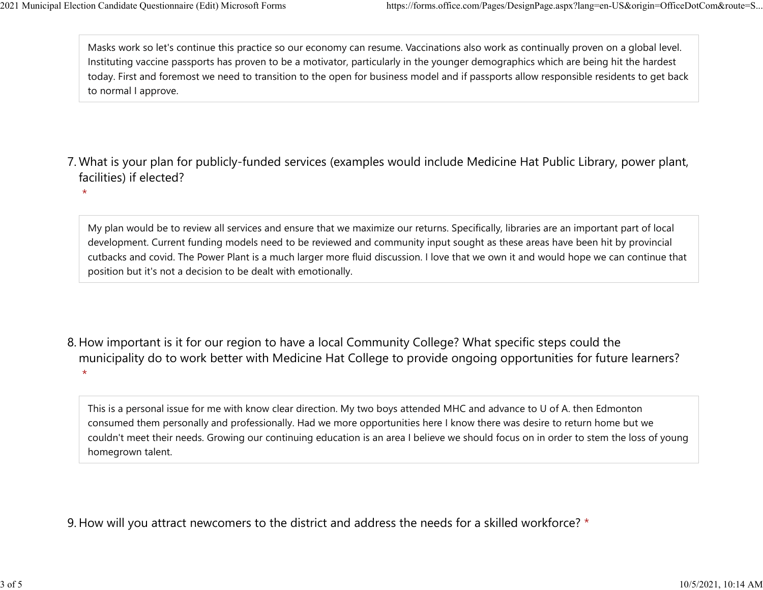Masks work so let's continue this practice so our economy can resume. Vaccinations also work as continually proven on a global level. Instituting vaccine passports has proven to be a motivator, particularly in the younger demographics which are being hit the hardest today. First and foremost we need to transition to the open for business model and if passports allow responsible residents to get back to normal I approve. 2021 Municipal Election Candidate Questionnaire (Edit) Microsoft Forms https://forms.office.com/Pages/DesignPage.aspx?lang=en-US&origin=OfficeDotCom&route=S...<br>Masks work so let's continue this practice so our economy can

- What is your plan for publicly-funded services (examples would include Medicine Hat Public Library, power plant, 7. facilities) if elected?
	- $\star$

My plan would be to review all services and ensure that we maximize our returns. Specifically, libraries are an important part of local development. Current funding models need to be reviewed and community input sought as these areas have been hit by provincial cutbacks and covid. The Power Plant is a much larger more fluid discussion. I love that we own it and would hope we can continue that position but it's not a decision to be dealt with emotionally.

8. How important is it for our region to have a local Community College? What specific steps could the municipality do to work better with Medicine Hat College to provide ongoing opportunities for future learners?  $\star$ 

This is a personal issue for me with know clear direction. My two boys attended MHC and advance to U of A. then Edmonton consumed them personally and professionally. Had we more opportunities here I know there was desire to return home but we couldn't meet their needs. Growing our continuing education is an area I believe we should focus on in order to stem the loss of young homegrown talent.

9. How will you attract newcomers to the district and address the needs for a skilled workforce? \*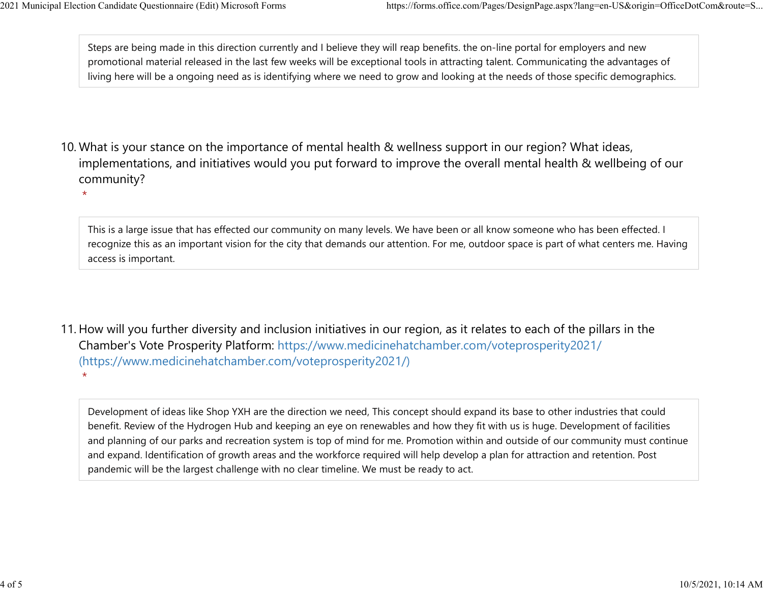Steps are being made in this direction currently and I believe they will reap benefits. the on-line portal for employers and new promotional material released in the last few weeks will be exceptional tools in attracting talent. Communicating the advantages of living here will be a ongoing need as is identifying where we need to grow and looking at the needs of those specific demographics. 2021 Municipal Election Candidate Questionnaire (Edit) Microsoft Forms https://forms.office.com/Pages/DesignPage.aspx?lang=en-US&origin=OfficeDotCom&route=S...<br>Steps are being made in this direction currently and I believe

- 10. What is your stance on the importance of mental health & wellness support in our region? What ideas, implementations, and initiatives would you put forward to improve the overall mental health & wellbeing of our community?
	- $\star$

 $\star$ 

This is a large issue that has effected our community on many levels. We have been or all know someone who has been effected. I recognize this as an important vision for the city that demands our attention. For me, outdoor space is part of what centers me. Having access is important.

11. How will you further diversity and inclusion initiatives in our region, as it relates to each of the pillars in the Chamber's Vote Prosperity Platform: https://www.medicinehatchamber.com/voteprosperity2021/ (https://www.medicinehatchamber.com/voteprosperity2021/)

Development of ideas like Shop YXH are the direction we need, This concept should expand its base to other industries that could benefit. Review of the Hydrogen Hub and keeping an eye on renewables and how they fit with us is huge. Development of facilities and planning of our parks and recreation system is top of mind for me. Promotion within and outside of our community must continue and expand. Identification of growth areas and the workforce required will help develop a plan for attraction and retention. Post pandemic will be the largest challenge with no clear timeline. We must be ready to act.